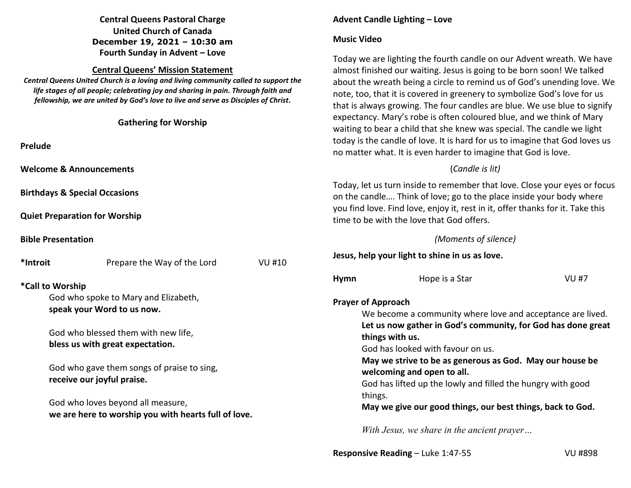# **Central Queens Pastoral Charge United Church of Canada December 19, 2021 – 10:30 am Fourth Sunday in Advent – Love**

## **Central Queens' Mission Statement**

 *Central Queens United Church is a loving and living community called to support the life stages of all people; celebrating joy and sharing in pain. Through faith and fellowship, we are united by God's love to live and serve as Disciples of Christ***.** 

| fellowship, we are united by God's love to live and serve as Disciples of Christ.<br><b>Gathering for Worship</b>                                                                                                                                                                                                      |                                              |      | that is always growing. The four candles are blue. We use blue to signify<br>expectancy. Mary's robe is often coloured blue, and we think of Mary                                                                                                                                                                                                                                                                                                 |             |  |  |
|------------------------------------------------------------------------------------------------------------------------------------------------------------------------------------------------------------------------------------------------------------------------------------------------------------------------|----------------------------------------------|------|---------------------------------------------------------------------------------------------------------------------------------------------------------------------------------------------------------------------------------------------------------------------------------------------------------------------------------------------------------------------------------------------------------------------------------------------------|-------------|--|--|
| Prelude                                                                                                                                                                                                                                                                                                                |                                              |      | waiting to bear a child that she knew was special. The candle we light<br>today is the candle of love. It is hard for us to imagine that God loves us<br>no matter what. It is even harder to imagine that God is love.                                                                                                                                                                                                                           |             |  |  |
|                                                                                                                                                                                                                                                                                                                        | <b>Welcome &amp; Announcements</b>           |      | (Candle is lit)                                                                                                                                                                                                                                                                                                                                                                                                                                   |             |  |  |
| <b>Birthdays &amp; Special Occasions</b>                                                                                                                                                                                                                                                                               |                                              |      | Today, let us turn inside to remember that love. Close your eyes or focus<br>on the candle Think of love; go to the place inside your body where                                                                                                                                                                                                                                                                                                  |             |  |  |
| <b>Quiet Preparation for Worship</b>                                                                                                                                                                                                                                                                                   |                                              |      | you find love. Find love, enjoy it, rest in it, offer thanks for it. Take this<br>time to be with the love that God offers.                                                                                                                                                                                                                                                                                                                       |             |  |  |
| <b>Bible Presentation</b>                                                                                                                                                                                                                                                                                              |                                              |      | (Moments of silence)                                                                                                                                                                                                                                                                                                                                                                                                                              |             |  |  |
| *Introit                                                                                                                                                                                                                                                                                                               | Prepare the Way of the Lord<br><b>VU #10</b> |      | Jesus, help your light to shine in us as love.                                                                                                                                                                                                                                                                                                                                                                                                    |             |  |  |
| *Call to Worship                                                                                                                                                                                                                                                                                                       |                                              | Hymn | Hope is a Star                                                                                                                                                                                                                                                                                                                                                                                                                                    | <b>VU#7</b> |  |  |
| God who spoke to Mary and Elizabeth,<br>speak your Word to us now.<br>God who blessed them with new life,<br>bless us with great expectation.<br>God who gave them songs of praise to sing,<br>receive our joyful praise.<br>God who loves beyond all measure,<br>we are here to worship you with hearts full of love. |                                              |      | <b>Prayer of Approach</b><br>We become a community where love and acceptance are lived.<br>Let us now gather in God's community, for God has done great<br>things with us.<br>God has looked with favour on us.<br>May we strive to be as generous as God. May our house be<br>welcoming and open to all.<br>God has lifted up the lowly and filled the hungry with good<br>things.<br>May we give our good things, our best things, back to God. |             |  |  |
|                                                                                                                                                                                                                                                                                                                        |                                              |      |                                                                                                                                                                                                                                                                                                                                                                                                                                                   |             |  |  |
|                                                                                                                                                                                                                                                                                                                        |                                              |      |                                                                                                                                                                                                                                                                                                                                                                                                                                                   |             |  |  |
|                                                                                                                                                                                                                                                                                                                        |                                              |      |                                                                                                                                                                                                                                                                                                                                                                                                                                                   |             |  |  |
|                                                                                                                                                                                                                                                                                                                        |                                              |      | With Jesus, we share in the ancient prayer                                                                                                                                                                                                                                                                                                                                                                                                        |             |  |  |

**Advent Candle Lighting – Love** 

Today we are lighting the fourth candle on our Advent wreath. We have almost finished our waiting. Jesus is going to be born soon! We talked about the wreath being a circle to remind us of God's unending love. We note, too, that it is covered in greenery to symbolize God's love for us

**Music Video**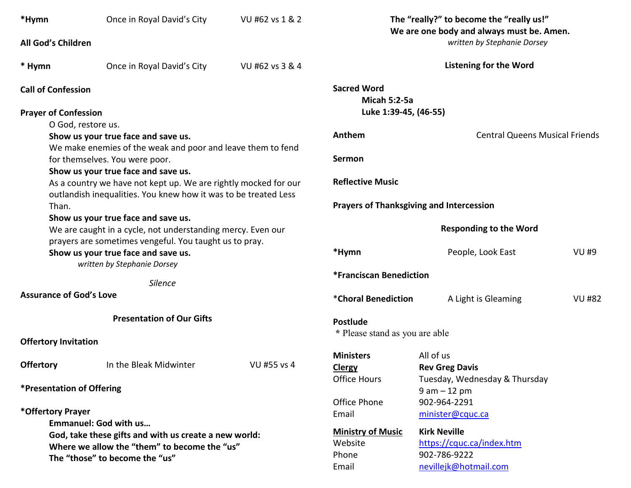| *Hymn                                                                                                                              | Once in Royal David's City<br>All God's Children                                              | VU #62 vs 1 & 2 |                                                 | The "really?" to become the "really us!"<br>We are one body and always must be. Amen.<br>written by Stephanie Dorsey |               |  |
|------------------------------------------------------------------------------------------------------------------------------------|-----------------------------------------------------------------------------------------------|-----------------|-------------------------------------------------|----------------------------------------------------------------------------------------------------------------------|---------------|--|
|                                                                                                                                    |                                                                                               |                 |                                                 |                                                                                                                      |               |  |
| * Hymn                                                                                                                             | Once in Royal David's City                                                                    | VU #62 vs 3 & 4 |                                                 | <b>Listening for the Word</b>                                                                                        |               |  |
| <b>Call of Confession</b>                                                                                                          |                                                                                               |                 | <b>Sacred Word</b><br><b>Micah 5:2-5a</b>       |                                                                                                                      |               |  |
|                                                                                                                                    | <b>Prayer of Confession</b>                                                                   |                 | Luke 1:39-45, (46-55)                           |                                                                                                                      |               |  |
|                                                                                                                                    | O God, restore us.                                                                            |                 |                                                 |                                                                                                                      |               |  |
|                                                                                                                                    | Show us your true face and save us.                                                           |                 | Anthem                                          | <b>Central Queens Musical Friends</b>                                                                                |               |  |
|                                                                                                                                    | We make enemies of the weak and poor and leave them to fend<br>for themselves. You were poor. | <b>Sermon</b>   |                                                 |                                                                                                                      |               |  |
|                                                                                                                                    | Show us your true face and save us.                                                           |                 |                                                 |                                                                                                                      |               |  |
| As a country we have not kept up. We are rightly mocked for our<br>outlandish inequalities. You knew how it was to be treated Less |                                                                                               |                 | <b>Reflective Music</b>                         |                                                                                                                      |               |  |
|                                                                                                                                    | Than.                                                                                         |                 | <b>Prayers of Thanksgiving and Intercession</b> |                                                                                                                      |               |  |
|                                                                                                                                    | Show us your true face and save us.                                                           |                 |                                                 |                                                                                                                      |               |  |
|                                                                                                                                    | We are caught in a cycle, not understanding mercy. Even our                                   |                 |                                                 | <b>Responding to the Word</b>                                                                                        |               |  |
|                                                                                                                                    | prayers are sometimes vengeful. You taught us to pray.                                        |                 |                                                 |                                                                                                                      |               |  |
|                                                                                                                                    | Show us your true face and save us.                                                           |                 | *Hymn                                           | People, Look East                                                                                                    | <b>VU #9</b>  |  |
|                                                                                                                                    | written by Stephanie Dorsey                                                                   |                 | *Franciscan Benediction                         |                                                                                                                      |               |  |
|                                                                                                                                    | Silence                                                                                       |                 |                                                 |                                                                                                                      |               |  |
| <b>Assurance of God's Love</b>                                                                                                     |                                                                                               |                 | *Choral Benediction                             | A Light is Gleaming                                                                                                  | <b>VU #82</b> |  |
|                                                                                                                                    | <b>Presentation of Our Gifts</b>                                                              |                 | <b>Postlude</b>                                 |                                                                                                                      |               |  |
|                                                                                                                                    |                                                                                               |                 | * Please stand as you are able                  |                                                                                                                      |               |  |
|                                                                                                                                    | <b>Offertory Invitation</b>                                                                   |                 |                                                 |                                                                                                                      |               |  |
|                                                                                                                                    |                                                                                               |                 | <b>Ministers</b>                                | All of us                                                                                                            |               |  |
| <b>Offertory</b>                                                                                                                   | In the Bleak Midwinter                                                                        | VU #55 vs 4     | Clergy                                          | <b>Rev Greg Davis</b>                                                                                                |               |  |
| *Presentation of Offering                                                                                                          |                                                                                               |                 | <b>Office Hours</b>                             | Tuesday, Wednesday & Thursday                                                                                        |               |  |
|                                                                                                                                    |                                                                                               |                 |                                                 | $9 am - 12 pm$                                                                                                       |               |  |
|                                                                                                                                    |                                                                                               |                 | Office Phone                                    | 902-964-2291                                                                                                         |               |  |
| *Offertory Prayer<br><b>Emmanuel: God with us</b>                                                                                  |                                                                                               |                 | Email                                           | minister@cquc.ca                                                                                                     |               |  |
| God, take these gifts and with us create a new world:                                                                              |                                                                                               |                 | <b>Ministry of Music</b>                        | <b>Kirk Neville</b>                                                                                                  |               |  |
| Where we allow the "them" to become the "us"                                                                                       |                                                                                               |                 | Website                                         | https://cquc.ca/index.htm                                                                                            |               |  |
| The "those" to become the "us"                                                                                                     |                                                                                               |                 | Phone                                           | 902-786-9222                                                                                                         |               |  |
|                                                                                                                                    |                                                                                               |                 | Email                                           | nevillejk@hotmail.com                                                                                                |               |  |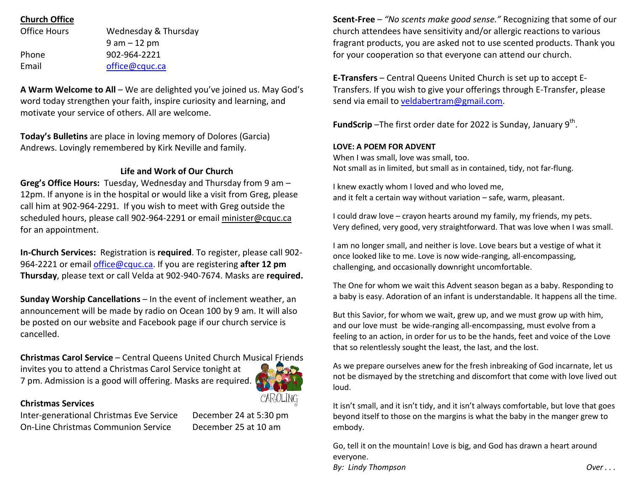# **Church Office**

| Office Hours | Wednesday & Thursday |
|--------------|----------------------|
|              | $9$ am $-12$ pm      |
| Phone        | 902-964-2221         |
| Email        | office@cquc.ca       |

**A Warm Welcome to All** – We are delighted you've joined us. May God's word today strengthen your faith, inspire curiosity and learning, and motivate your service of others. All are welcome.

**Today's Bulletins** are place in loving memory of Dolores (Garcia) Andrews. Lovingly remembered by Kirk Neville and family.

### **Life and Work of Our Church**

**Greg's Office Hours:** Tuesday, Wednesday and Thursday from 9 am – 12pm. If anyone is in the hospital or would like a visit from Greg, please call him at 902-964-2291. If you wish to meet with Greg outside the scheduled hours, please call 902-964-2291 or email minister@cquc.ca for an appointment.

**In-Church Services:** Registration is **required**. To register, please call 902- 964-2221 or email office@cquc.ca. If you are registering **after 12 pmThursday**, please text or call Velda at 902-940-7674. Masks are **required.**

**Sunday Worship Cancellations** – In the event of inclement weather, an announcement will be made by radio on Ocean 100 by 9 am. It will also be posted on our website and Facebook page if our church service is cancelled.

**Christmas Carol Service** – Central Queens United Church Musical Friends invites you to attend a Christmas Carol Service tonight at 7 pm. Admission is a good will offering. Masks are required.



### **Christmas Services**

Inter-generational Christmas Eve Service December 24 at 5:30 pm On-Line Christmas Communion Service December 25 at 10 am

**Scent-Free** – *"No scents make good sense."* Recognizing that some of our church attendees have sensitivity and/or allergic reactions to various fragrant products, you are asked not to use scented products. Thank you for your cooperation so that everyone can attend our church.

**E-Transfers** – Central Queens United Church is set up to accept E-Transfers. If you wish to give your offerings through E-Transfer, please send via email to veldabertram@gmail.com.

**FundScrip** –The first order date for 2022 is Sunday, January 9<sup>th</sup>.

#### **LOVE: A POEM FOR ADVENT**

When I was small, love was small, too. Not small as in limited, but small as in contained, tidy, not far-flung.

I knew exactly whom I loved and who loved me, and it felt a certain way without variation – safe, warm, pleasant.

I could draw love – crayon hearts around my family, my friends, my pets. Very defined, very good, very straightforward. That was love when I was small.

I am no longer small, and neither is love. Love bears but a vestige of what it once looked like to me. Love is now wide-ranging, all-encompassing, challenging, and occasionally downright uncomfortable.

The One for whom we wait this Advent season began as a baby. Responding to a baby is easy. Adoration of an infant is understandable. It happens all the time.

But this Savior, for whom we wait, grew up, and we must grow up with him, and our love must be wide-ranging all-encompassing, must evolve from a feeling to an action, in order for us to be the hands, feet and voice of the Love that so relentlessly sought the least, the last, and the lost.

As we prepare ourselves anew for the fresh inbreaking of God incarnate, let us not be dismayed by the stretching and discomfort that come with love lived out loud.

It isn't small, and it isn't tidy, and it isn't always comfortable, but love that goes beyond itself to those on the margins is what the baby in the manger grew to embody.

Go, tell it on the mountain! Love is big, and God has drawn a heart around everyone. *By:* Lindy Thompson **Over ...** *By:* Lindy Thompson